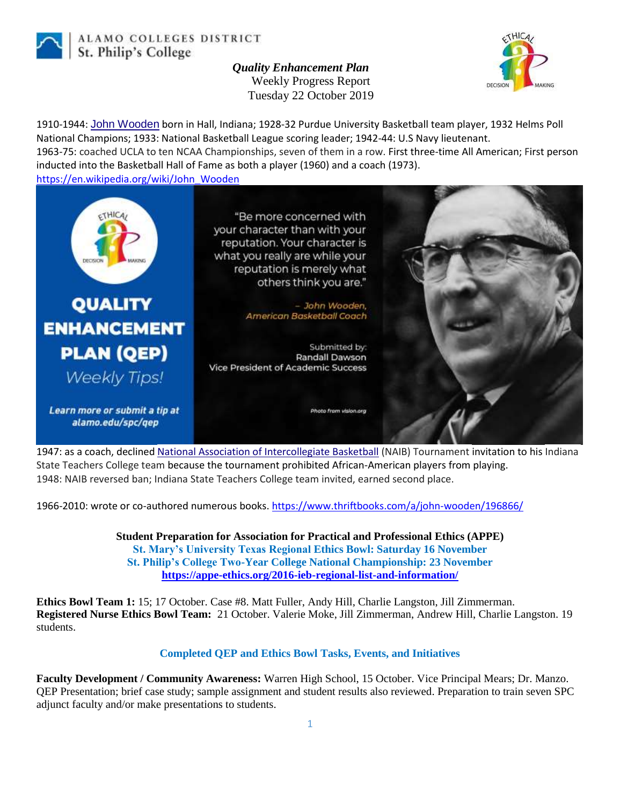

ALAMO COLLEGES DISTRICT St. Philip's College

> *Quality Enhancement Plan* Weekly Progress Report Tuesday 22 October 2019



1910-1944: [John Wooden](https://en.wikipedia.org/wiki/John_Wooden) born in Hall, Indiana; 1928-32 Purdue University Basketball team player, 1932 Helms Poll National Champions; 1933: National Basketball League scoring leader; 1942-44: U.S Navy lieutenant.

1963-75: coached UCLA to ten NCAA Championships, seven of them in a row. First three-time All American; First person inducted into the Basketball Hall of Fame as both a player (1960) and a coach (1973).

[https://en.wikipedia.org/wiki/John\\_Wooden](https://en.wikipedia.org/wiki/John_Wooden)



1947: as a coach, declined [National Association of Intercollegiate Basketball](https://en.wikipedia.org/wiki/National_Association_of_Intercollegiate_Basketball) (NAIB) Tournament invitation to his Indiana State Teachers College team because the tournament prohibited African-American players from playing. 1948: NAIB reversed ban; Indiana State Teachers College team invited, earned second place.

1966-2010: wrote or co-authored numerous books. https://www.thriftbooks.com/a/john-wooden/196866/

**Student Preparation for Association for Practical and Professional Ethics (APPE) St. Mary's University Texas Regional Ethics Bowl: Saturday 16 November St. Philip's College Two-Year College National Championship: 23 November <https://appe-ethics.org/2016-ieb-regional-list-and-information/>**

**Ethics Bowl Team 1:** 15; 17 October. Case #8. Matt Fuller, Andy Hill, Charlie Langston, Jill Zimmerman. **Registered Nurse Ethics Bowl Team:** 21 October. Valerie Moke, Jill Zimmerman, Andrew Hill, Charlie Langston. 19 students.

## **Completed QEP and Ethics Bowl Tasks, Events, and Initiatives**

**Faculty Development / Community Awareness:** Warren High School, 15 October. Vice Principal Mears; Dr. Manzo. QEP Presentation; brief case study; sample assignment and student results also reviewed. Preparation to train seven SPC adjunct faculty and/or make presentations to students.